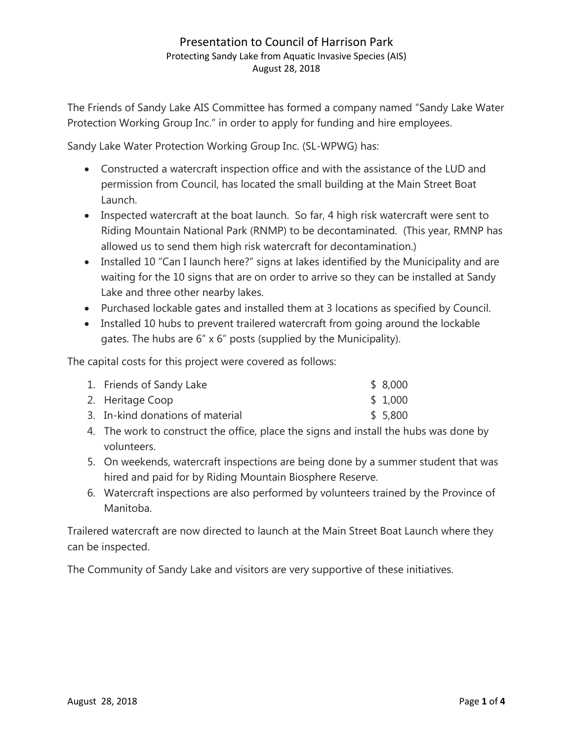The Friends of Sandy Lake AIS Committee has formed a company named "Sandy Lake Water Protection Working Group Inc." in order to apply for funding and hire employees.

Sandy Lake Water Protection Working Group Inc. (SL-WPWG) has:

- Constructed a watercraft inspection office and with the assistance of the LUD and permission from Council, has located the small building at the Main Street Boat Launch.
- Inspected watercraft at the boat launch. So far, 4 high risk watercraft were sent to Riding Mountain National Park (RNMP) to be decontaminated. (This year, RMNP has allowed us to send them high risk watercraft for decontamination.)
- Installed 10 "Can I launch here?" signs at lakes identified by the Municipality and are waiting for the 10 signs that are on order to arrive so they can be installed at Sandy Lake and three other nearby lakes.
- Purchased lockable gates and installed them at 3 locations as specified by Council.
- Installed 10 hubs to prevent trailered watercraft from going around the lockable gates. The hubs are 6" x 6" posts (supplied by the Municipality).

The capital costs for this project were covered as follows:

| 1. Friends of Sandy Lake         | \$8,000 |
|----------------------------------|---------|
| 2. Heritage Coop                 | \$1,000 |
| 3. In-kind donations of material | \$5,800 |
|                                  |         |

- 4. The work to construct the office, place the signs and install the hubs was done by volunteers.
- 5. On weekends, watercraft inspections are being done by a summer student that was hired and paid for by Riding Mountain Biosphere Reserve.
- 6. Watercraft inspections are also performed by volunteers trained by the Province of Manitoba.

Trailered watercraft are now directed to launch at the Main Street Boat Launch where they can be inspected.

The Community of Sandy Lake and visitors are very supportive of these initiatives.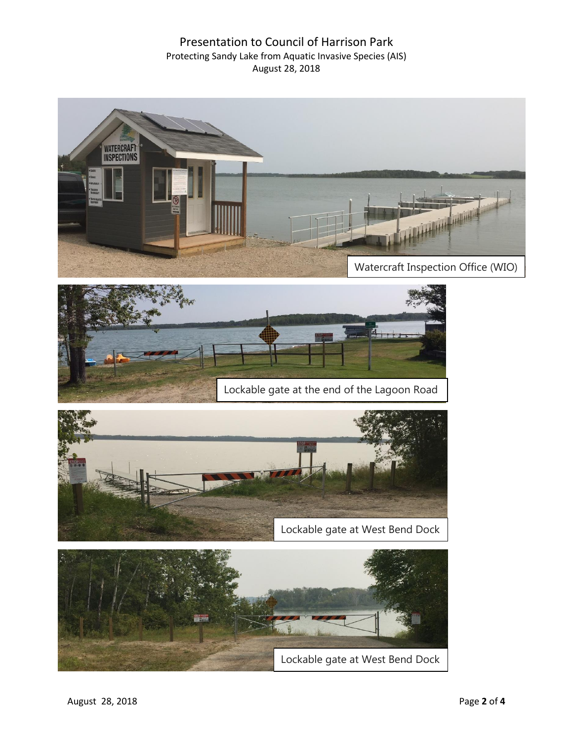





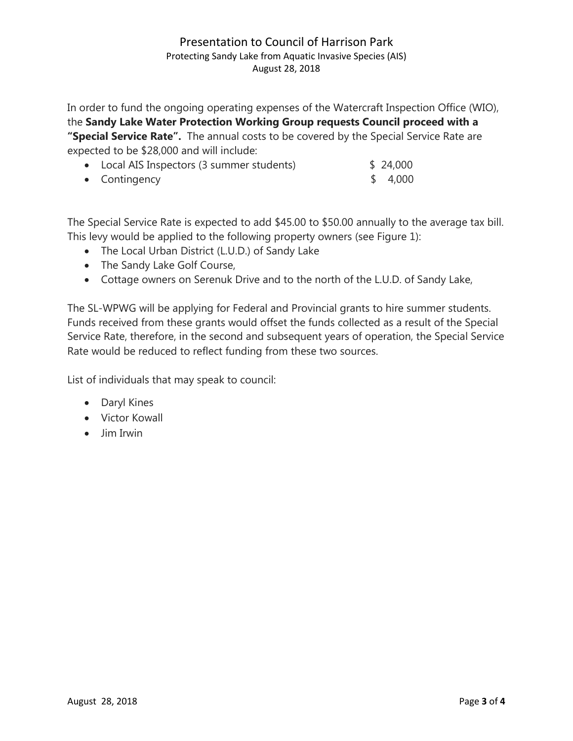In order to fund the ongoing operating expenses of the Watercraft Inspection Office (WIO), the **Sandy Lake Water Protection Working Group requests Council proceed with a "Special Service Rate".** The annual costs to be covered by the Special Service Rate are expected to be \$28,000 and will include:

| • Local AIS Inspectors (3 summer students) | \$24,000 |
|--------------------------------------------|----------|
| • Contingency                              | \$4,000  |

The Special Service Rate is expected to add \$45.00 to \$50.00 annually to the average tax bill. This levy would be applied to the following property owners (see Figure 1):

- The Local Urban District (L.U.D.) of Sandy Lake
- The Sandy Lake Golf Course,
- Cottage owners on Serenuk Drive and to the north of the L.U.D. of Sandy Lake,

The SL-WPWG will be applying for Federal and Provincial grants to hire summer students. Funds received from these grants would offset the funds collected as a result of the Special Service Rate, therefore, in the second and subsequent years of operation, the Special Service Rate would be reduced to reflect funding from these two sources.

List of individuals that may speak to council:

- Daryl Kines
- Victor Kowall
- Jim Irwin